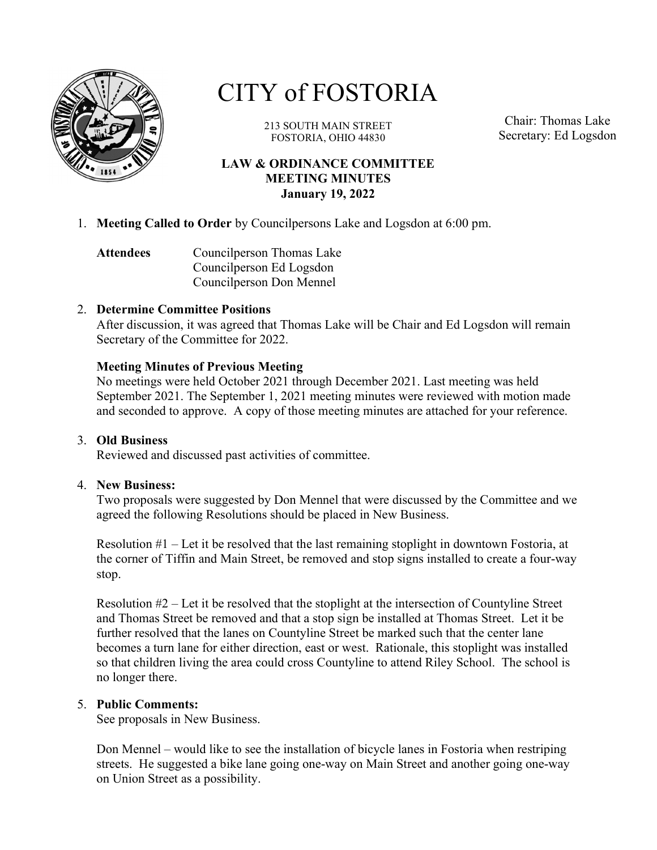

# CITY of FOSTORIA

213 SOUTH MAIN STREET FOSTORIA, OHIO 44830

Chair: Thomas Lake Secretary: Ed Logsdon

#### LAW & ORDINANCE COMMITTEE MEETING MINUTES January 19, 2022

1. Meeting Called to Order by Councilpersons Lake and Logsdon at 6:00 pm.

Attendees Councilperson Thomas Lake Councilperson Ed Logsdon Councilperson Don Mennel

#### 2. Determine Committee Positions

After discussion, it was agreed that Thomas Lake will be Chair and Ed Logsdon will remain Secretary of the Committee for 2022.

## Meeting Minutes of Previous Meeting

No meetings were held October 2021 through December 2021. Last meeting was held September 2021. The September 1, 2021 meeting minutes were reviewed with motion made and seconded to approve. A copy of those meeting minutes are attached for your reference.

#### 3. Old Business

Reviewed and discussed past activities of committee.

#### 4. New Business:

Two proposals were suggested by Don Mennel that were discussed by the Committee and we agreed the following Resolutions should be placed in New Business.

Resolution #1 – Let it be resolved that the last remaining stoplight in downtown Fostoria, at the corner of Tiffin and Main Street, be removed and stop signs installed to create a four-way stop.

Resolution #2 – Let it be resolved that the stoplight at the intersection of Countyline Street and Thomas Street be removed and that a stop sign be installed at Thomas Street. Let it be further resolved that the lanes on Countyline Street be marked such that the center lane becomes a turn lane for either direction, east or west. Rationale, this stoplight was installed so that children living the area could cross Countyline to attend Riley School. The school is no longer there.

#### 5. Public Comments:

See proposals in New Business.

Don Mennel – would like to see the installation of bicycle lanes in Fostoria when restriping streets. He suggested a bike lane going one-way on Main Street and another going one-way on Union Street as a possibility.